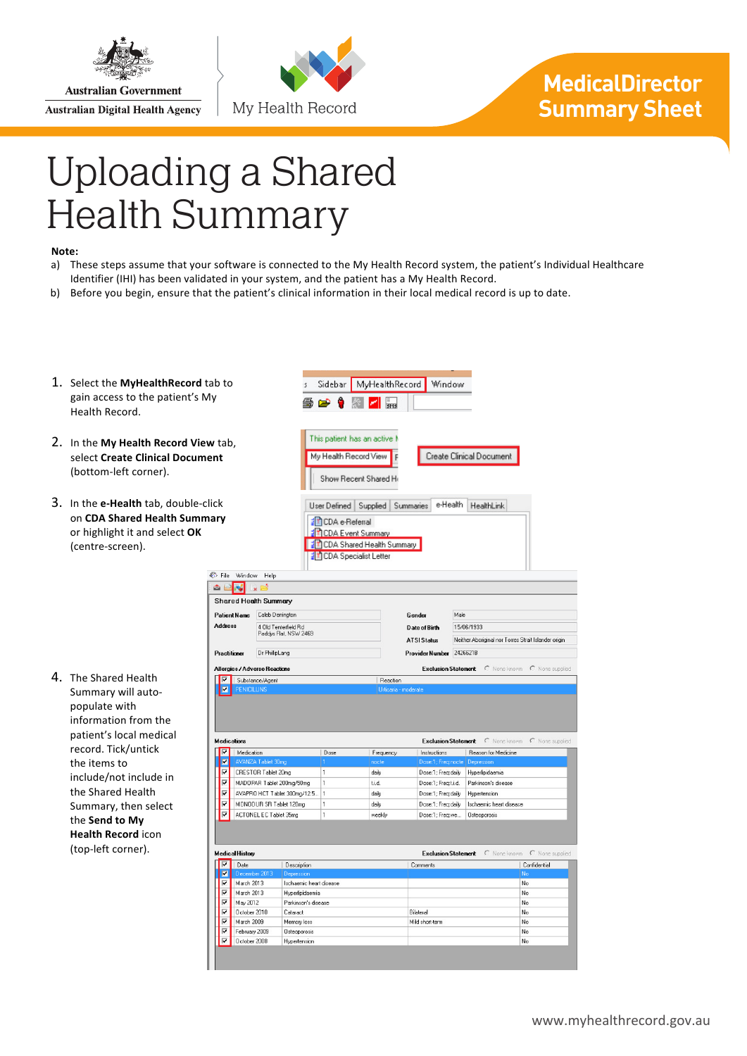

**Australian Government Australian Digital Health Agency** 



## **MedicalDirector Summary Sheet**

## Uploading a Shared Health Summary

彩卡  $\hat{\mathbf{a}}$  $\overline{\mathsf{sh}}$ Pat Ado

> Pra Alle I

Me

## Note:

- a) These steps assume that your software is connected to the My Health Record system, the patient's Individual Healthcare Identifier (IHI) has been validated in your system, and the patient has a My Health Record.
- b) Before you begin, ensure that the patient's clinical information in their local medical record is up to date.
- 1. Select the MyHealthRecord tab gain access to the patient's My Health Record.
- 2. In the My Health Record View ta select **Create Clinical Document** (bottom-left corner).
- 3. In the **e-Health** tab, double-click on **CDA** Shared Health Summary or highlight it and select OK (centre-screen).

4. The Shared Health Summary will autopopulate with information from the patient's local medical record. Tick/untick the items to include/not include in the Shared Health Summary, then select the **Send to My Health Record** icon (top-left corner).

| ίO                                                                                      |                                   | s                       | Sidebar                                                                                                                                        | MyHealthRecord                  |                      | Window                             |                                                      |                              |  |
|-----------------------------------------------------------------------------------------|-----------------------------------|-------------------------|------------------------------------------------------------------------------------------------------------------------------------------------|---------------------------------|----------------------|------------------------------------|------------------------------------------------------|------------------------------|--|
|                                                                                         |                                   | B∌ ∩ <del>o⊅</del>      |                                                                                                                                                |                                 |                      |                                    |                                                      |                              |  |
| ۱b,                                                                                     |                                   |                         | This patient has an active M<br>My Health Record View<br>Create Clinical Document<br>F                                                         |                                 |                      |                                    |                                                      |                              |  |
|                                                                                         |                                   |                         | Show Recent Shared He                                                                                                                          |                                 |                      |                                    |                                                      |                              |  |
|                                                                                         |                                   |                         | e-Health<br>User Defined<br>Supplied<br>Summaries<br>HealthLink<br>CDA e-Referral<br>T CDA Event Summary<br><b>E CDA Shared Health Summary</b> |                                 |                      |                                    |                                                      |                              |  |
| le                                                                                      | Window<br>Help                    |                         |                                                                                                                                                | <b>En CDA</b> Specialist Letter |                      |                                    |                                                      |                              |  |
|                                                                                         |                                   |                         |                                                                                                                                                |                                 |                      |                                    |                                                      |                              |  |
|                                                                                         | ared Health Summary               |                         |                                                                                                                                                |                                 |                      |                                    |                                                      |                              |  |
|                                                                                         | ent Name<br>Caleb Derrington      |                         |                                                                                                                                                |                                 | Gender               | Male                               |                                                      |                              |  |
|                                                                                         | ress                              | 4 Old Tenterfield Rd    |                                                                                                                                                |                                 | <b>Date of Birth</b> |                                    | 15/06/1933                                           |                              |  |
|                                                                                         |                                   | Paddys Flat, NSW 2469   |                                                                                                                                                |                                 | <b>ATSI Status</b>   |                                    | Neither Aboriginal nor Torres Strait Islander origin |                              |  |
|                                                                                         |                                   |                         |                                                                                                                                                |                                 |                      |                                    |                                                      |                              |  |
|                                                                                         | Dr PhillipLang<br><b>titioner</b> |                         |                                                                                                                                                |                                 |                      | 2426621B<br><b>Provider Number</b> |                                                      |                              |  |
| rgies / Adverse Reactions<br><b>Exclusion Statement</b><br>C None known C None supplied |                                   |                         |                                                                                                                                                |                                 |                      |                                    |                                                      |                              |  |
|                                                                                         |                                   |                         |                                                                                                                                                |                                 |                      |                                    |                                                      |                              |  |
|                                                                                         | Substance/Agent                   |                         |                                                                                                                                                | Reaction                        |                      |                                    |                                                      |                              |  |
|                                                                                         | <b>PENICILLINS</b>                |                         |                                                                                                                                                |                                 | Urticaria - moderate |                                    |                                                      |                              |  |
|                                                                                         |                                   |                         |                                                                                                                                                |                                 |                      |                                    |                                                      |                              |  |
|                                                                                         |                                   |                         |                                                                                                                                                |                                 |                      |                                    |                                                      |                              |  |
|                                                                                         |                                   |                         |                                                                                                                                                |                                 |                      |                                    |                                                      |                              |  |
|                                                                                         | lications                         |                         |                                                                                                                                                |                                 |                      |                                    | Exclusion Statement C None known                     | C None supplied              |  |
|                                                                                         | Medication                        |                         | Dose                                                                                                                                           | Frequency                       | Instructions         |                                    | Reason for Medicine                                  |                              |  |
|                                                                                         | AVANZA Tablet 30mg                |                         | 1                                                                                                                                              | nocte                           |                      |                                    | Dose:1: Freg:nocte   Depression                      |                              |  |
|                                                                                         | CRESTOR Tablet 20mg               |                         | 1                                                                                                                                              | daily                           |                      | Dose:1; Freq:daily                 | Hyperlipidaemia                                      |                              |  |
|                                                                                         | MADOPAR Tablet 200mg/50mg         |                         | 1                                                                                                                                              | ti.d.                           |                      | Dose:1; Freq:t.i.d.                | Parkinson's disease                                  |                              |  |
|                                                                                         | AVAPRO HCT Tablet 300mg/12.5      |                         | 1                                                                                                                                              | daily                           |                      | Dose:1; Freq:daily                 | Hypertension                                         |                              |  |
|                                                                                         | MONODUR SR Tablet 120mg           |                         | 1                                                                                                                                              | daily                           |                      | Dose:1: Frea:daily                 | Ischaemic heart disease                              |                              |  |
|                                                                                         | ACTONEL EC Tablet 35mg            |                         | 1                                                                                                                                              | weekly                          |                      | Dose:1; Freq:we                    | <b>Osteoporosis</b>                                  |                              |  |
|                                                                                         |                                   |                         |                                                                                                                                                |                                 |                      |                                    |                                                      |                              |  |
|                                                                                         | lical History                     |                         |                                                                                                                                                |                                 |                      | <b>Exclusion Statement</b>         |                                                      | C None known C None supplied |  |
|                                                                                         | Date                              | Description             |                                                                                                                                                |                                 | Comments             |                                    |                                                      | Confidential                 |  |
|                                                                                         | December 2013                     | Depression              |                                                                                                                                                |                                 |                      |                                    |                                                      | No                           |  |
|                                                                                         | March 2013                        | Ischaemic heart disease |                                                                                                                                                |                                 |                      |                                    |                                                      | No                           |  |
|                                                                                         | March 2013                        | Hyperlipidaemia         |                                                                                                                                                |                                 |                      |                                    |                                                      | No                           |  |
|                                                                                         | May 2012                          | Parkinson's disease     |                                                                                                                                                |                                 |                      |                                    |                                                      | No                           |  |
|                                                                                         | October 2010                      | Cataract                |                                                                                                                                                |                                 | Bilateral            |                                    |                                                      | No                           |  |
|                                                                                         | March 2009                        | Memory loss             |                                                                                                                                                |                                 | Mild short-term      |                                    |                                                      | No                           |  |
|                                                                                         | February 2009                     | <b>Osteoporosis</b>     |                                                                                                                                                |                                 |                      |                                    |                                                      | No                           |  |
|                                                                                         | October 2008                      | Hypertension            |                                                                                                                                                |                                 |                      |                                    |                                                      | No                           |  |